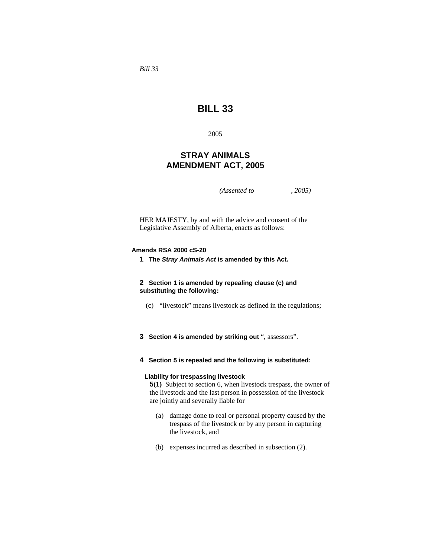*Bill 33* 

# **BILL 33**

2005

## **STRAY ANIMALS AMENDMENT ACT, 2005**

*(Assented to , 2005)* 

HER MAJESTY, by and with the advice and consent of the Legislative Assembly of Alberta, enacts as follows:

#### **Amends RSA 2000 cS-20**

**1 The** *Stray Animals Act* **is amended by this Act.**

**2 Section 1 is amended by repealing clause (c) and substituting the following:**

- (c) "livestock" means livestock as defined in the regulations;
- **3 Section 4 is amended by striking out** ", assessors".
- **4 Section 5 is repealed and the following is substituted:**

## **Liability for trespassing livestock**

**5(1)** Subject to section 6, when livestock trespass, the owner of the livestock and the last person in possession of the livestock are jointly and severally liable for

- (a) damage done to real or personal property caused by the trespass of the livestock or by any person in capturing the livestock, and
- (b) expenses incurred as described in subsection (2).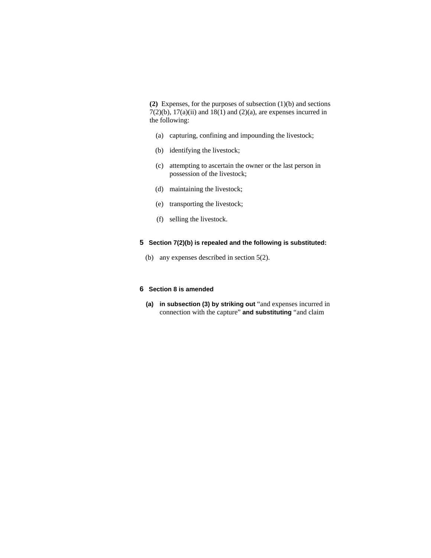**(2)** Expenses, for the purposes of subsection (1)(b) and sections  $7(2)(b)$ ,  $17(a)(ii)$  and  $18(1)$  and  $(2)(a)$ , are expenses incurred in the following:

- (a) capturing, confining and impounding the livestock;
- (b) identifying the livestock;
- (c) attempting to ascertain the owner or the last person in possession of the livestock;
- (d) maintaining the livestock;
- (e) transporting the livestock;
- (f) selling the livestock.

## **5 Section 7(2)(b) is repealed and the following is substituted:**

(b) any expenses described in section 5(2).

## **6 Section 8 is amended**

**(a) in subsection (3) by striking out** "and expenses incurred in connection with the capture" **and substituting** "and claim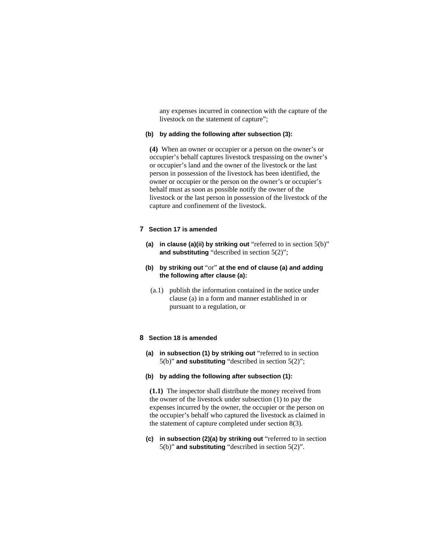any expenses incurred in connection with the capture of the livestock on the statement of capture";

#### **(b) by adding the following after subsection (3):**

**(4)** When an owner or occupier or a person on the owner's or occupier's behalf captures livestock trespassing on the owner's or occupier's land and the owner of the livestock or the last person in possession of the livestock has been identified, the owner or occupier or the person on the owner's or occupier's behalf must as soon as possible notify the owner of the livestock or the last person in possession of the livestock of the capture and confinement of the livestock.

## **7 Section 17 is amended**

- **(a) in clause (a)(ii) by striking out** "referred to in section 5(b)" **and substituting** "described in section 5(2)";
- **(b) by striking out** "or" **at the end of clause (a) and adding the following after clause (a):**
	- (a.1) publish the information contained in the notice under clause (a) in a form and manner established in or pursuant to a regulation, or

#### **8 Section 18 is amended**

- **(a) in subsection (1) by striking out** "referred to in section 5(b)" **and substituting** "described in section 5(2)";
- **(b) by adding the following after subsection (1):**

**(1.1)** The inspector shall distribute the money received from the owner of the livestock under subsection (1) to pay the expenses incurred by the owner, the occupier or the person on the occupier's behalf who captured the livestock as claimed in the statement of capture completed under section 8(3).

**(c) in subsection (2)(a) by striking out** "referred to in section 5(b)" **and substituting** "described in section 5(2)".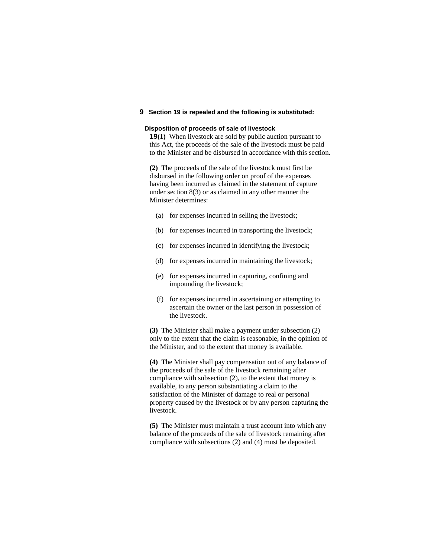## **9 Section 19 is repealed and the following is substituted:**

#### **Disposition of proceeds of sale of livestock**

**19(1)** When livestock are sold by public auction pursuant to this Act, the proceeds of the sale of the livestock must be paid to the Minister and be disbursed in accordance with this section.

**(2)** The proceeds of the sale of the livestock must first be disbursed in the following order on proof of the expenses having been incurred as claimed in the statement of capture under section 8(3) or as claimed in any other manner the Minister determines:

- (a) for expenses incurred in selling the livestock;
- (b) for expenses incurred in transporting the livestock;
- (c) for expenses incurred in identifying the livestock;
- (d) for expenses incurred in maintaining the livestock;
- (e) for expenses incurred in capturing, confining and impounding the livestock;
- (f) for expenses incurred in ascertaining or attempting to ascertain the owner or the last person in possession of the livestock.

**(3)** The Minister shall make a payment under subsection (2) only to the extent that the claim is reasonable, in the opinion of the Minister, and to the extent that money is available.

**(4)** The Minister shall pay compensation out of any balance of the proceeds of the sale of the livestock remaining after compliance with subsection (2), to the extent that money is available, to any person substantiating a claim to the satisfaction of the Minister of damage to real or personal property caused by the livestock or by any person capturing the livestock.

**(5)** The Minister must maintain a trust account into which any balance of the proceeds of the sale of livestock remaining after compliance with subsections (2) and (4) must be deposited.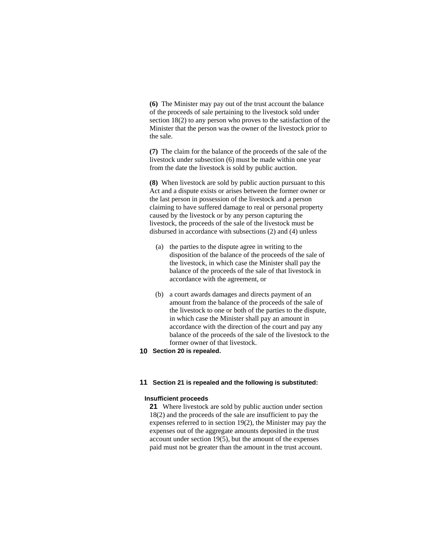**(6)** The Minister may pay out of the trust account the balance of the proceeds of sale pertaining to the livestock sold under section 18(2) to any person who proves to the satisfaction of the Minister that the person was the owner of the livestock prior to the sale.

**(7)** The claim for the balance of the proceeds of the sale of the livestock under subsection (6) must be made within one year from the date the livestock is sold by public auction.

**(8)** When livestock are sold by public auction pursuant to this Act and a dispute exists or arises between the former owner or the last person in possession of the livestock and a person claiming to have suffered damage to real or personal property caused by the livestock or by any person capturing the livestock, the proceeds of the sale of the livestock must be disbursed in accordance with subsections (2) and (4) unless

- (a) the parties to the dispute agree in writing to the disposition of the balance of the proceeds of the sale of the livestock, in which case the Minister shall pay the balance of the proceeds of the sale of that livestock in accordance with the agreement, or
- (b) a court awards damages and directs payment of an amount from the balance of the proceeds of the sale of the livestock to one or both of the parties to the dispute, in which case the Minister shall pay an amount in accordance with the direction of the court and pay any balance of the proceeds of the sale of the livestock to the former owner of that livestock.
- **10 Section 20 is repealed.**

#### **11 Section 21 is repealed and the following is substituted:**

#### **Insufficient proceeds**

**21** Where livestock are sold by public auction under section 18(2) and the proceeds of the sale are insufficient to pay the expenses referred to in section 19(2), the Minister may pay the expenses out of the aggregate amounts deposited in the trust account under section 19(5), but the amount of the expenses paid must not be greater than the amount in the trust account.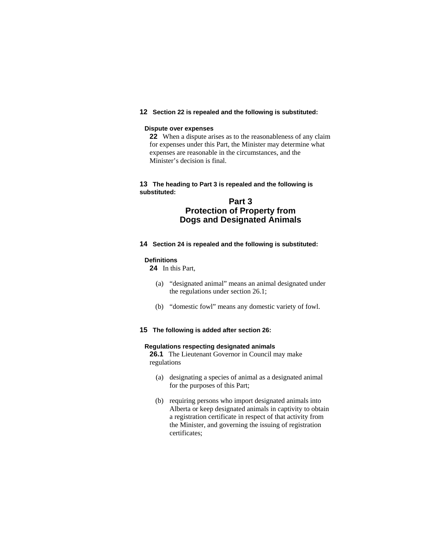## **12 Section 22 is repealed and the following is substituted:**

#### **Dispute over expenses**

**22** When a dispute arises as to the reasonableness of any claim for expenses under this Part, the Minister may determine what expenses are reasonable in the circumstances, and the Minister's decision is final.

## **13 The heading to Part 3 is repealed and the following is substituted:**

## **Part 3 Protection of Property from Dogs and Designated Animals**

**14 Section 24 is repealed and the following is substituted:** 

#### **Definitions**

**24** In this Part,

- (a) "designated animal" means an animal designated under the regulations under section 26.1;
- (b) "domestic fowl" means any domestic variety of fowl.
- **15 The following is added after section 26:**

#### **Regulations respecting designated animals**

**26.1** The Lieutenant Governor in Council may make regulations

- (a) designating a species of animal as a designated animal for the purposes of this Part;
- (b) requiring persons who import designated animals into Alberta or keep designated animals in captivity to obtain a registration certificate in respect of that activity from the Minister, and governing the issuing of registration certificates;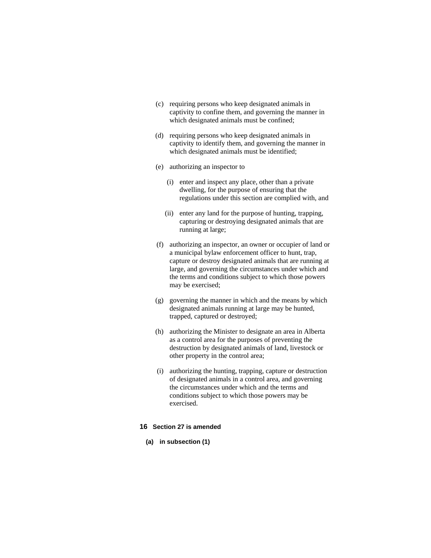- (c) requiring persons who keep designated animals in captivity to confine them, and governing the manner in which designated animals must be confined;
- (d) requiring persons who keep designated animals in captivity to identify them, and governing the manner in which designated animals must be identified;
- (e) authorizing an inspector to
	- (i) enter and inspect any place, other than a private dwelling, for the purpose of ensuring that the regulations under this section are complied with, and
	- (ii) enter any land for the purpose of hunting, trapping, capturing or destroying designated animals that are running at large;
- (f) authorizing an inspector, an owner or occupier of land or a municipal bylaw enforcement officer to hunt, trap, capture or destroy designated animals that are running at large, and governing the circumstances under which and the terms and conditions subject to which those powers may be exercised;
- (g) governing the manner in which and the means by which designated animals running at large may be hunted, trapped, captured or destroyed;
- (h) authorizing the Minister to designate an area in Alberta as a control area for the purposes of preventing the destruction by designated animals of land, livestock or other property in the control area;
- (i) authorizing the hunting, trapping, capture or destruction of designated animals in a control area, and governing the circumstances under which and the terms and conditions subject to which those powers may be exercised.

#### **16 Section 27 is amended**

**(a) in subsection (1)**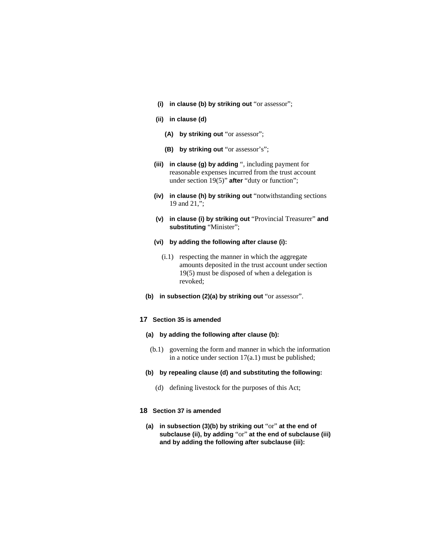- **(i) in clause (b) by striking out** "or assessor";
- **(ii) in clause (d)** 
	- **(A) by striking out** "or assessor";
	- **(B) by striking out** "or assessor's";
- **(iii) in clause (g) by adding** ", including payment for reasonable expenses incurred from the trust account under section 19(5)" **after** "duty or function";
- **(iv) in clause (h) by striking out** "notwithstanding sections 19 and 21,";
- **(v) in clause (i) by striking out** "Provincial Treasurer" **and substituting** "Minister";
- **(vi) by adding the following after clause (i):** 
	- (i.1) respecting the manner in which the aggregate amounts deposited in the trust account under section 19(5) must be disposed of when a delegation is revoked;
- **(b) in subsection (2)(a) by striking out** "or assessor".

## **17 Section 35 is amended**

- **(a) by adding the following after clause (b):** 
	- (b.1) governing the form and manner in which the information in a notice under section 17(a.1) must be published;
- **(b) by repealing clause (d) and substituting the following:** 
	- (d) defining livestock for the purposes of this Act;

## **18 Section 37 is amended**

**(a) in subsection (3)(b) by striking out** "or" **at the end of subclause (ii), by adding** "or" **at the end of subclause (iii) and by adding the following after subclause (iii):**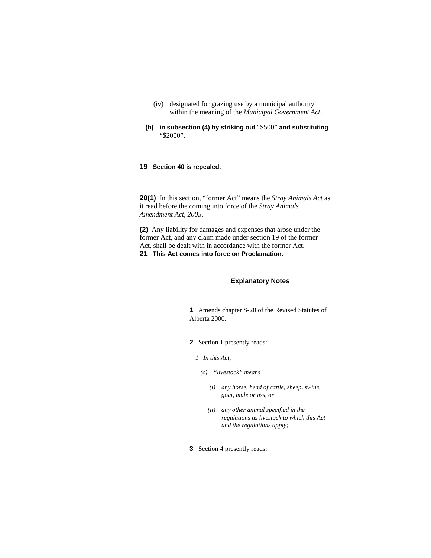- (iv) designated for grazing use by a municipal authority within the meaning of the *Municipal Government Act*.
- **(b) in subsection (4) by striking out** "\$500" **and substituting**  "\$2000".

## **19 Section 40 is repealed.**

**20(1)** In this section, "former Act" means the *Stray Animals Act* as it read before the coming into force of the *Stray Animals Amendment Act, 2005*.

**(2)** Any liability for damages and expenses that arose under the former Act, and any claim made under section 19 of the former Act, shall be dealt with in accordance with the former Act. **21 This Act comes into force on Proclamation.** 

#### **Explanatory Notes**

**1** Amends chapter S-20 of the Revised Statutes of Alberta 2000.

**2** Section 1 presently reads:

- *1 In this Act,* 
	- *(c) "livestock" means* 
		- *(i) any horse, head of cattle, sheep, swine, goat, mule or ass, or*
		- *(ii) any other animal specified in the regulations as livestock to which this Act and the regulations apply;*
- **3** Section 4 presently reads: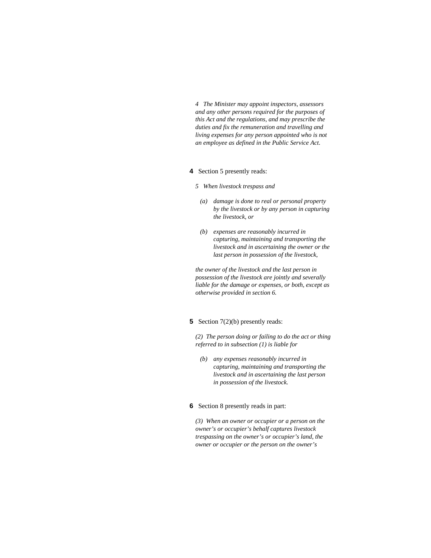*4 The Minister may appoint inspectors, assessors and any other persons required for the purposes of this Act and the regulations, and may prescribe the duties and fix the remuneration and travelling and living expenses for any person appointed who is not an employee as defined in the Public Service Act.* 

- **4** Section 5 presently reads:
	- *5 When livestock trespass and* 
		- *(a) damage is done to real or personal property by the livestock or by any person in capturing the livestock, or*
		- *(b) expenses are reasonably incurred in capturing, maintaining and transporting the livestock and in ascertaining the owner or the last person in possession of the livestock,*

*the owner of the livestock and the last person in possession of the livestock are jointly and severally liable for the damage or expenses, or both, except as otherwise provided in section 6.* 

## **5** Section 7(2)(b) presently reads:

*(2) The person doing or failing to do the act or thing referred to in subsection (1) is liable for* 

 *(b) any expenses reasonably incurred in capturing, maintaining and transporting the livestock and in ascertaining the last person in possession of the livestock.* 

#### **6** Section 8 presently reads in part:

*(3) When an owner or occupier or a person on the owner's or occupier's behalf captures livestock trespassing on the owner's or occupier's land, the owner or occupier or the person on the owner's*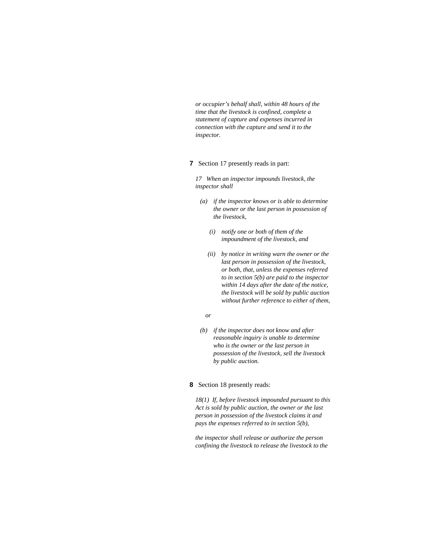*or occupier's behalf shall, within 48 hours of the time that the livestock is confined, complete a statement of capture and expenses incurred in connection with the capture and send it to the inspector.* 

#### **7** Section 17 presently reads in part:

*17 When an inspector impounds livestock, the inspector shall* 

- *(a) if the inspector knows or is able to determine the owner or the last person in possession of the livestock,* 
	- *(i) notify one or both of them of the impoundment of the livestock, and*
	- *(ii) by notice in writing warn the owner or the last person in possession of the livestock, or both, that, unless the expenses referred to in section 5(b) are paid to the inspector within 14 days after the date of the notice, the livestock will be sold by public auction without further reference to either of them,*

#### *or*

 *(b) if the inspector does not know and after reasonable inquiry is unable to determine who is the owner or the last person in possession of the livestock, sell the livestock by public auction.* 

#### **8** Section 18 presently reads:

*18(1) If, before livestock impounded pursuant to this Act is sold by public auction, the owner or the last person in possession of the livestock claims it and pays the expenses referred to in section 5(b),* 

*the inspector shall release or authorize the person confining the livestock to release the livestock to the*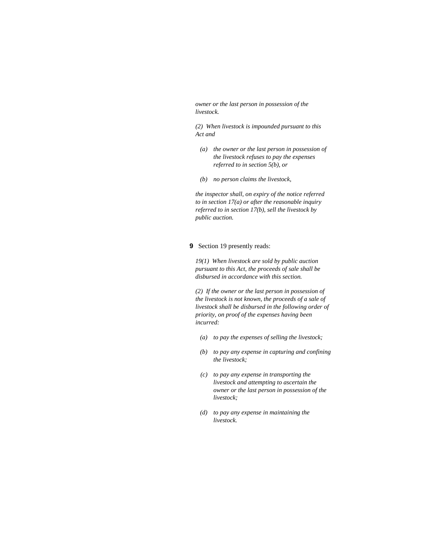*owner or the last person in possession of the livestock.* 

*(2) When livestock is impounded pursuant to this Act and* 

- *(a) the owner or the last person in possession of the livestock refuses to pay the expenses referred to in section 5(b), or*
- *(b) no person claims the livestock,*

*the inspector shall, on expiry of the notice referred to in section 17(a) or after the reasonable inquiry referred to in section 17(b), sell the livestock by public auction.* 

## **9** Section 19 presently reads:

*19(1) When livestock are sold by public auction pursuant to this Act, the proceeds of sale shall be disbursed in accordance with this section.* 

*(2) If the owner or the last person in possession of the livestock is not known, the proceeds of a sale of livestock shall be disbursed in the following order of priority, on proof of the expenses having been incurred:* 

- *(a) to pay the expenses of selling the livestock;*
- *(b) to pay any expense in capturing and confining the livestock;*
- *(c) to pay any expense in transporting the livestock and attempting to ascertain the owner or the last person in possession of the livestock;*
- *(d) to pay any expense in maintaining the livestock.*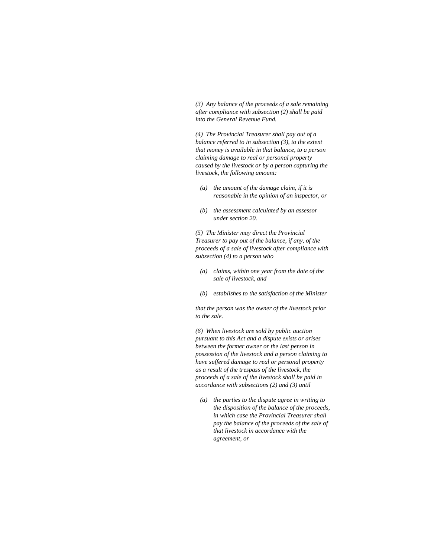*(3) Any balance of the proceeds of a sale remaining after compliance with subsection (2) shall be paid into the General Revenue Fund.* 

*(4) The Provincial Treasurer shall pay out of a balance referred to in subsection (3), to the extent that money is available in that balance, to a person claiming damage to real or personal property caused by the livestock or by a person capturing the livestock, the following amount:* 

- *(a) the amount of the damage claim, if it is reasonable in the opinion of an inspector, or*
- *(b) the assessment calculated by an assessor under section 20.*

*(5) The Minister may direct the Provincial Treasurer to pay out of the balance, if any, of the proceeds of a sale of livestock after compliance with subsection (4) to a person who* 

- *(a) claims, within one year from the date of the sale of livestock, and*
- *(b) establishes to the satisfaction of the Minister*

*that the person was the owner of the livestock prior to the sale.* 

*(6) When livestock are sold by public auction pursuant to this Act and a dispute exists or arises between the former owner or the last person in possession of the livestock and a person claiming to have suffered damage to real or personal property as a result of the trespass of the livestock, the proceeds of a sale of the livestock shall be paid in accordance with subsections (2) and (3) until* 

 *(a) the parties to the dispute agree in writing to the disposition of the balance of the proceeds, in which case the Provincial Treasurer shall pay the balance of the proceeds of the sale of that livestock in accordance with the agreement, or*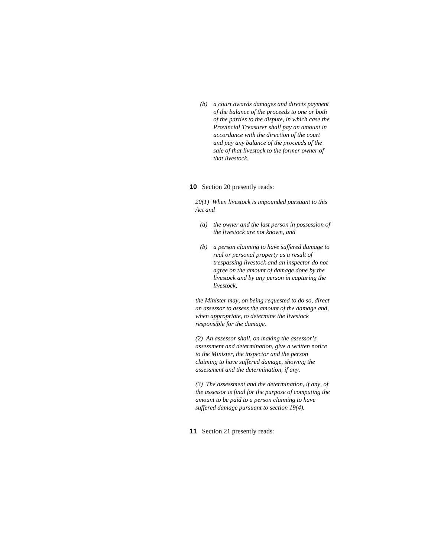*(b) a court awards damages and directs payment of the balance of the proceeds to one or both of the parties to the dispute, in which case the Provincial Treasurer shall pay an amount in accordance with the direction of the court and pay any balance of the proceeds of the sale of that livestock to the former owner of that livestock.* 

#### **10** Section 20 presently reads:

*20(1) When livestock is impounded pursuant to this Act and* 

- *(a) the owner and the last person in possession of the livestock are not known, and*
- *(b) a person claiming to have suffered damage to real or personal property as a result of trespassing livestock and an inspector do not agree on the amount of damage done by the livestock and by any person in capturing the livestock,*

*the Minister may, on being requested to do so, direct an assessor to assess the amount of the damage and, when appropriate, to determine the livestock responsible for the damage.* 

*(2) An assessor shall, on making the assessor's assessment and determination, give a written notice to the Minister, the inspector and the person claiming to have suffered damage, showing the assessment and the determination, if any.* 

*(3) The assessment and the determination, if any, of the assessor is final for the purpose of computing the amount to be paid to a person claiming to have suffered damage pursuant to section 19(4).* 

**11** Section 21 presently reads: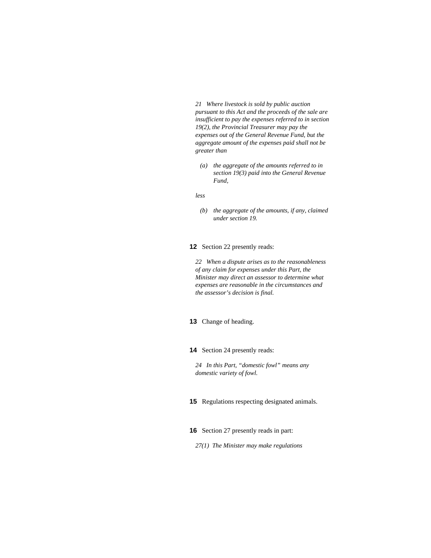*21 Where livestock is sold by public auction pursuant to this Act and the proceeds of the sale are insufficient to pay the expenses referred to in section 19(2), the Provincial Treasurer may pay the expenses out of the General Revenue Fund, but the aggregate amount of the expenses paid shall not be greater than* 

 *(a) the aggregate of the amounts referred to in section 19(3) paid into the General Revenue Fund,* 

*less* 

 *(b) the aggregate of the amounts, if any, claimed under section 19.* 

**12** Section 22 presently reads:

*22 When a dispute arises as to the reasonableness of any claim for expenses under this Part, the Minister may direct an assessor to determine what expenses are reasonable in the circumstances and the assessor's decision is final.* 

**13** Change of heading.

**14** Section 24 presently reads:

*24 In this Part, "domestic fowl" means any domestic variety of fowl.* 

**15** Regulations respecting designated animals.

**16** Section 27 presently reads in part:

*27(1) The Minister may make regulations*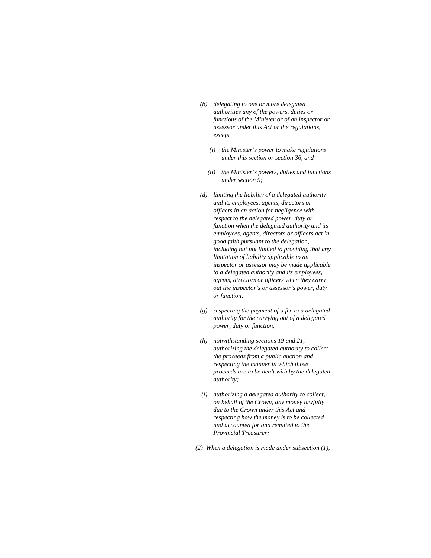- *(b) delegating to one or more delegated authorities any of the powers, duties or functions of the Minister or of an inspector or assessor under this Act or the regulations, except* 
	- *(i) the Minister's power to make regulations under this section or section 36, and*
	- *(ii) the Minister's powers, duties and functions under section 9;*
- *(d) limiting the liability of a delegated authority and its employees, agents, directors or officers in an action for negligence with respect to the delegated power, duty or function when the delegated authority and its employees, agents, directors or officers act in good faith pursuant to the delegation, including but not limited to providing that any limitation of liability applicable to an inspector or assessor may be made applicable to a delegated authority and its employees, agents, directors or officers when they carry out the inspector's or assessor's power, duty or function;*
- *(g) respecting the payment of a fee to a delegated authority for the carrying out of a delegated power, duty or function;*
- *(h) notwithstanding sections 19 and 21, authorizing the delegated authority to collect the proceeds from a public auction and respecting the manner in which those proceeds are to be dealt with by the delegated authority;*
- *(i) authorizing a delegated authority to collect, on behalf of the Crown, any money lawfully due to the Crown under this Act and respecting how the money is to be collected and accounted for and remitted to the Provincial Treasurer;*
- *(2) When a delegation is made under subsection (1),*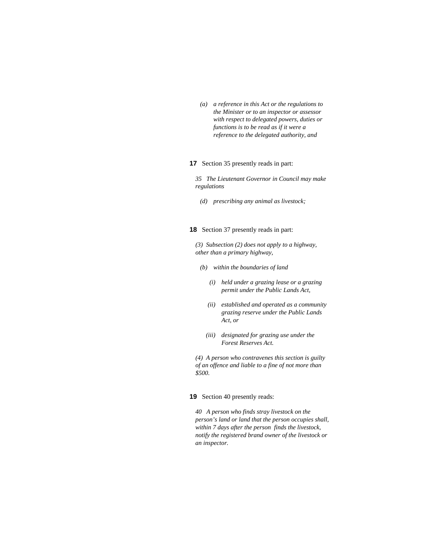*(a) a reference in this Act or the regulations to the Minister or to an inspector or assessor with respect to delegated powers, duties or functions is to be read as if it were a reference to the delegated authority, and* 

#### **17** Section 35 presently reads in part:

*35 The Lieutenant Governor in Council may make regulations* 

 *(d) prescribing any animal as livestock;* 

#### **18** Section 37 presently reads in part:

*(3) Subsection (2) does not apply to a highway, other than a primary highway,* 

- *(b) within the boundaries of land* 
	- *(i) held under a grazing lease or a grazing permit under the Public Lands Act,*
	- *(ii) established and operated as a community grazing reserve under the Public Lands Act, or*
	- *(iii) designated for grazing use under the Forest Reserves Act.*

*(4) A person who contravenes this section is guilty of an offence and liable to a fine of not more than \$500.* 

#### **19** Section 40 presently reads:

*40 A person who finds stray livestock on the person's land or land that the person occupies shall, within 7 days after the person finds the livestock, notify the registered brand owner of the livestock or an inspector.*